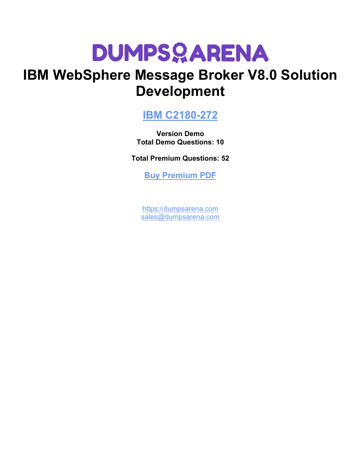## **IBM WebSphere Message Broker V8.0 Solution Development**

### **[IBM C2180-272](https://dumpsarena.com/exam/c2180-272/)**

**Version Demo Total Demo Questions: 10**

**Total Premium Questions: 52**

**[Buy Premium PDF](https://dumpsarena.com/exam/c2180-272/)**

[https://dumpsarena.com](https://dumpsarena.com/) [sales@dumpsarena.com](mailto:sales@dumpsarena.com)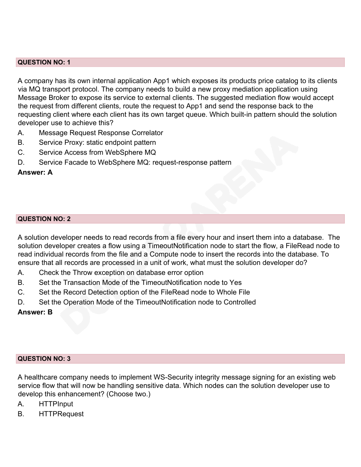#### **QUESTION NO: 1**

A company has its own internal application App1 which exposes its products price catalog to its clients via MQ transport protocol. The company needs to build a new proxy mediation application using Message Broker to expose its service to external clients. The suggested mediation flow would accept the request from different clients, route the request to App1 and send the response back to the requesting client where each client has its own target queue. Which built-in pattern should the solution developer use to achieve this?

- A. Message Request Response Correlator
- B. Service Proxy: static endpoint pattern
- C. Service Access from WebSphere MQ
- D. Service Facade to WebSphere MQ: request-response pattern

### **Answer: A**

### **QUESTION NO: 2**

A solution developer needs to read records from a file every hour and insert them into a database. The solution developer creates a flow using a TimeoutNotification node to start the flow, a FileRead node to read individual records from the file and a Compute node to insert the records into the database. To ensure that all records are processed in a unit of work, what must the solution developer do?

- A. Check the Throw exception on database error option
- B. Set the Transaction Mode of the TimeoutNotification node to Yes
- C. Set the Record Detection option of the FileRead node to Whole File
- D. Set the Operation Mode of the TimeoutNotification node to Controlled

### **Answer: B**

### **QUESTION NO: 3**

A healthcare company needs to implement WS-Security integrity message signing for an existing web service flow that will now be handling sensitive data. Which nodes can the solution developer use to develop this enhancement? (Choose two.)

- A. HTTPInput
- B. HTTPRequest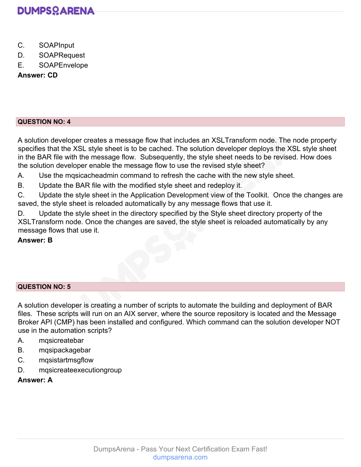

- C. SOAPInput
- D. SOAPRequest
- E. SOAPEnvelope

### **Answer: CD**

### **QUESTION NO: 4**

A solution developer creates a message flow that includes an XSLTransform node. The node property specifies that the XSL style sheet is to be cached. The solution developer deploys the XSL style sheet in the BAR file with the message flow. Subsequently, the style sheet needs to be revised. How does the solution developer enable the message flow to use the revised style sheet?

A. Use the mqsicacheadmin command to refresh the cache with the new style sheet.

B. Update the BAR file with the modified style sheet and redeploy it.

C. Update the style sheet in the Application Development view of the Toolkit. Once the changes are saved, the style sheet is reloaded automatically by any message flows that use it.

D. Update the style sheet in the directory specified by the Style sheet directory property of the XSLTransform node. Once the changes are saved, the style sheet is reloaded automatically by any message flows that use it.

### **Answer: B**

### **QUESTION NO: 5**

A solution developer is creating a number of scripts to automate the building and deployment of BAR files. These scripts will run on an AIX server, where the source repository is located and the Message Broker API (CMP) has been installed and configured. Which command can the solution developer NOT use in the automation scripts?

- A. mqsicreatebar
- B. mqsipackagebar
- C. mqsistartmsgflow
- D. mqsicreateexecutiongroup

### **Answer: A**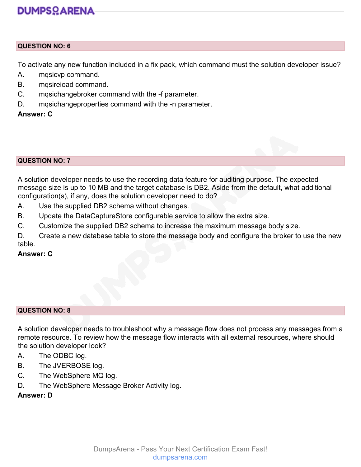### **QUESTION NO: 6**

To activate any new function included in a fix pack, which command must the solution developer issue?

- A. mqsicvp command.
- B. mqsireioad command.
- C. mqsichangebroker command with the -f parameter.
- D. mqsichangeproperties command with the -n parameter.

### **Answer: C**

#### **QUESTION NO: 7**

A solution developer needs to use the recording data feature for auditing purpose. The expected message size is up to 10 MB and the target database is DB2. Aside from the default, what additional configuration(s), if any, does the solution developer need to do?

- A. Use the supplied DB2 schema without changes.
- B. Update the DataCaptureStore configurable service to allow the extra size.
- C. Customize the supplied DB2 schema to increase the maximum message body size.

D. Create a new database table to store the message body and configure the broker to use the new table.

**Answer: C**

#### **QUESTION NO: 8**

A solution developer needs to troubleshoot why a message flow does not process any messages from a remote resource. To review how the message flow interacts with all external resources, where should the solution developer look?

- A. The ODBC log.
- B. The JVERBOSE log.
- C. The WebSphere MQ log.
- D. The WebSphere Message Broker Activity log.

### **Answer: D**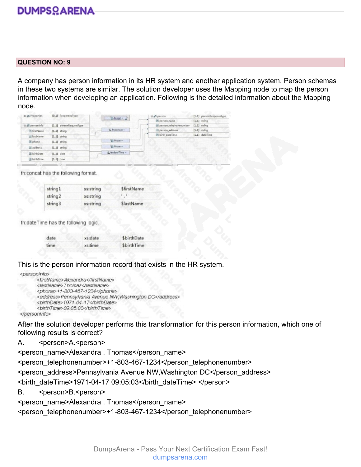#### **QUESTION NO: 9**

A company has person information in its HR system and another application system. Person schemas in these two systems are similar. The solution developer uses the Mapping node to map the person information when developing an application. Following is the detailed information about the Mapping node.

| a gl Properties   | [0.1] PropertiesType    | Assign -        | iii of person            | [1.1] personResponsetype |
|-------------------|-------------------------|-----------------|--------------------------|--------------------------|
|                   |                         |                 | El person name           | $[1.1]$ string           |
| ohrinoens its iii | [1.1] personRequestType |                 | 8 person telephonenumber | $[1.1]$ string           |
| E firstName       | $[1.1]$ string          | S Inconcat -    | el person address        | $[1-1]$ string           |
| E lastName        | $[1.1]$ string          |                 | (8) birth dateTime       | [1.1] dateTime           |
| E phone           | $[1-1]$ string          | Til Move -      |                          |                          |
| E address         | $[1.1]$ string          | <b>EMove v</b>  |                          |                          |
| E birthDate       | $[1.1]$ date            | % fredateTime = |                          |                          |
| E birthTime       | $[1.1]$ time            |                 |                          |                          |

fn:concat has the following format.

| string1 | xs:string | SfirstName |
|---------|-----------|------------|
| string2 | xs:string |            |
| string3 | xs:string | SlastName  |

fn:dateTime has the following logic.

| date | xs:date | \$birthDate |  |
|------|---------|-------------|--|
| time | xs:time | \$birthTime |  |

This is the person information record that exists in the HR system.

```
<personInfo>
      <firstName>Alexandra</firstName>
      <lastName>Thomas</lastName>
      <phone>+1-803-467-1234</phone>
      <address>Pennsylvania Avenue NW,Washington DC</address>
      <br />
shirthDate>1971-04-17</birthDate>
      </person/nfo>
```
After the solution developer performs this transformation for this person information, which one of following results is correct?

A. <person>A.<person>

<person\_name>Alexandra . Thomas</person\_name> <person\_telephonenumber>+1-803-467-1234</person\_telephonenumber> <person\_address>Pennsylvania Avenue NW,Washington DC</person\_address> <birth\_dateTime>1971-04-17 09:05:03</birth\_dateTime> </person> B. <person>B.<person> <person\_name>Alexandra . Thomas</person\_name>

<person\_telephonenumber>+1-803-467-1234</person\_telephonenumber>